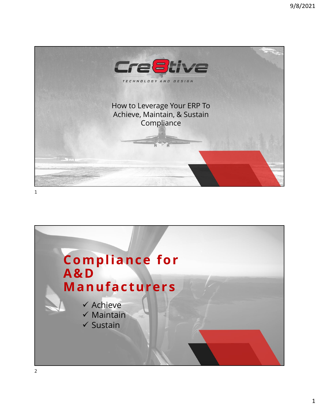



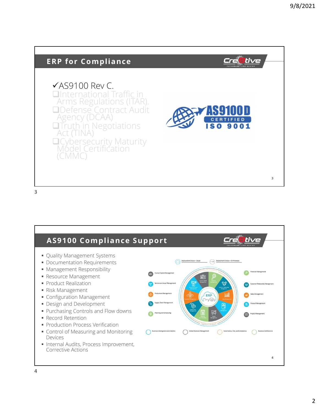

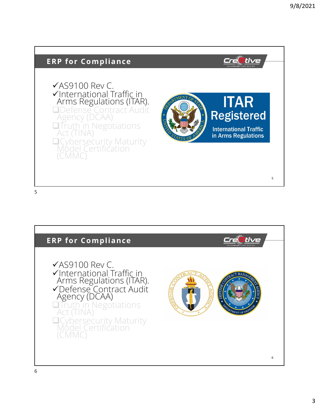

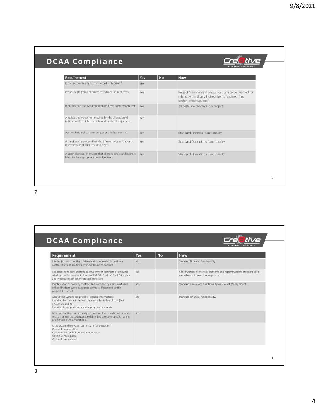Creetive

## **DCAA Compliance**

| <b>Requirement</b>                                                                                                | <b>Yes</b> | <b>No</b> | How                                                                                                                                   |
|-------------------------------------------------------------------------------------------------------------------|------------|-----------|---------------------------------------------------------------------------------------------------------------------------------------|
| Is the Accounting System in accord with GAAP?                                                                     | Yes        |           |                                                                                                                                       |
| Proper segregation of direct costs from indirect costs                                                            | Yes        |           | Project Management allows for costs to be charged for<br>mfg activities & any indirect items (engineering,<br>design, expenses, etc.) |
| Identification and Accumulation of direct costs by contract                                                       | Yes        |           | All costs are charged to a project.                                                                                                   |
| A logical and consistent method for the allocation of<br>indirect costs to intermediate and final cost objectives | Yes        |           |                                                                                                                                       |
| Accumulation of costs under general ledger control                                                                | Yes        |           | Standard Financial functionality.                                                                                                     |
| A timekeeping system that identifies employees' labor by<br>intermediate or final cost objectives                 | Yes        |           | Standard Operations functionality.                                                                                                    |
| A labor distribution system that charges direct and indirect<br>labor to the appropriate cost objectives          | Yes.       |           | Standard Operations functionality.                                                                                                    |

7

## **DCAA Compliance a**tive Cre  $\overline{\phantom{a}}$ Requirement Yes **No** How Interim (at least monthly) determination of costs charged to a<br>contract through routine posting of books of account Standard Financial functionality. Yes Exclusion from costs charged to government contracts of amounts Configuration of financial elements and reporting using standard tools, Yes which are not allowable in terms of FAR 31, Contract Cost Principles<br>and Procedures, or other contract provisions and advanced project management. Identification of costs by contract line item and by units (as if each Standard operations functionality via Project Management. Yes unit or line item were a separate contract) if required by the<br>proposed contract Accounting System can provide Financial Information: Standard Financial functionality. Yes Required by contract clauses concerning limitation of cost (FAR<br>52.232-20 and 21) Required to support requests for progress payments Is the accounting system designed, and are the records maintained in<br>such a manner that adequate, reliable data are developed for use in<br>pricing follow-on acquisitions? Is the accounting system currently in full operation? Option 1: In operation<br>Option 2: Set up, but not yet in operation Option 3: Anticipated<br>Option 4: Nonexistent **8**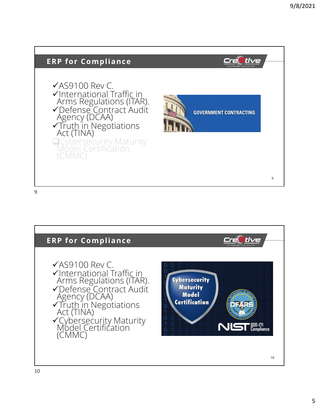